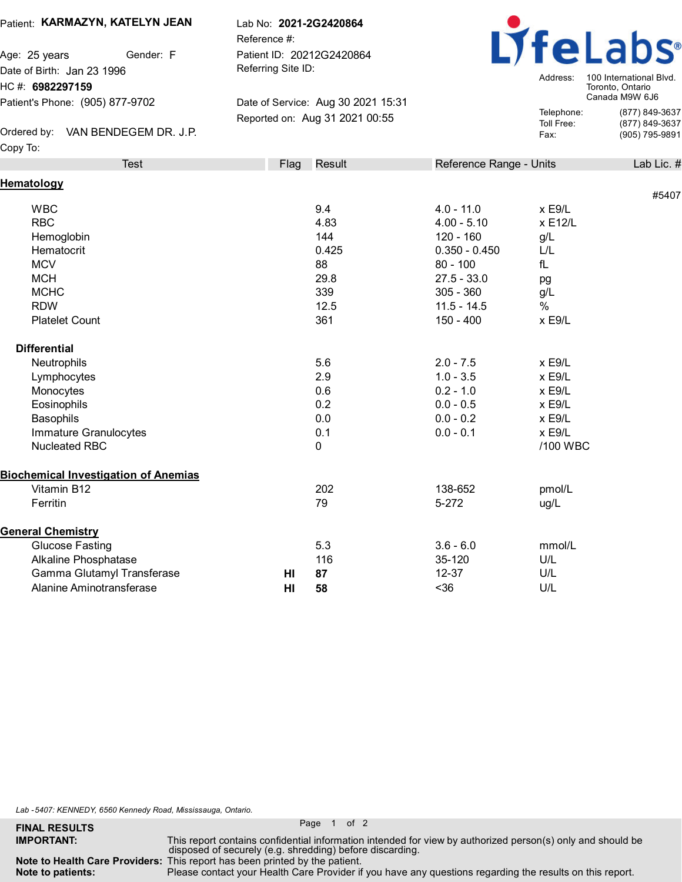## Patient: **KARMAZYN, KATELYN JEAN**

Age: 25 years **Gender**: F Date of Birth: Jan 23 1996 HC #: **6982297159** Patient's Phone: (905) 877-9702

 $\blacksquare$  Ordered by:  $\blacksquare$  VAN BENDEGEM DR. J.P.  $\blacksquare$ Copy To:

Lab No: **2021-2G2420864**

Reference #: Patient ID: 20212G2420864 Referring Site ID:

Date of Service: Aug 30 2021 15:31 Reported on: Aug 31 2021 00:55



Address: 100 International Blvd. Toronto, Ontario Canada M9W 6J6 Telephone: (877) 849-3637 Toll Free: (877) 849-3637

|    |      |                                                                           |                                                                                                                                               | #5407                                                                                             |
|----|------|---------------------------------------------------------------------------|-----------------------------------------------------------------------------------------------------------------------------------------------|---------------------------------------------------------------------------------------------------|
|    |      |                                                                           |                                                                                                                                               |                                                                                                   |
|    |      |                                                                           |                                                                                                                                               |                                                                                                   |
|    |      |                                                                           |                                                                                                                                               |                                                                                                   |
|    |      |                                                                           |                                                                                                                                               |                                                                                                   |
|    |      |                                                                           |                                                                                                                                               |                                                                                                   |
|    |      |                                                                           |                                                                                                                                               |                                                                                                   |
|    |      |                                                                           |                                                                                                                                               |                                                                                                   |
|    |      |                                                                           |                                                                                                                                               |                                                                                                   |
|    |      |                                                                           |                                                                                                                                               |                                                                                                   |
|    |      |                                                                           |                                                                                                                                               |                                                                                                   |
|    | 5.6  | $2.0 - 7.5$                                                               | x E9/L                                                                                                                                        |                                                                                                   |
|    | 2.9  | $1.0 - 3.5$                                                               | x E9/L                                                                                                                                        |                                                                                                   |
|    | 0.6  | $0.2 - 1.0$                                                               | $x$ E9/L                                                                                                                                      |                                                                                                   |
|    | 0.2  | $0.0 - 0.5$                                                               | $x$ E9/L                                                                                                                                      |                                                                                                   |
|    | 0.0  | $0.0 - 0.2$                                                               | x E9/L                                                                                                                                        |                                                                                                   |
|    | 0.1  | $0.0 - 0.1$                                                               | $x$ E9/L                                                                                                                                      |                                                                                                   |
|    | 0    |                                                                           | /100 WBC                                                                                                                                      |                                                                                                   |
|    |      |                                                                           |                                                                                                                                               |                                                                                                   |
|    | 202  | 138-652                                                                   | pmol/L                                                                                                                                        |                                                                                                   |
|    | 79   | $5 - 272$                                                                 | ug/L                                                                                                                                          |                                                                                                   |
|    |      |                                                                           |                                                                                                                                               |                                                                                                   |
|    | 5.3  | $3.6 - 6.0$                                                               | mmol/L                                                                                                                                        |                                                                                                   |
|    | 116  | 35-120                                                                    | U/L                                                                                                                                           |                                                                                                   |
| HI | 87   | $12 - 37$                                                                 | U/L                                                                                                                                           |                                                                                                   |
| HI | 58   | $36$                                                                      | U/L                                                                                                                                           |                                                                                                   |
|    | Flag | Result<br>9.4<br>4.83<br>144<br>0.425<br>88<br>29.8<br>339<br>12.5<br>361 | $4.0 - 11.0$<br>$4.00 - 5.10$<br>$120 - 160$<br>$0.350 - 0.450$<br>$80 - 100$<br>$27.5 - 33.0$<br>$305 - 360$<br>$11.5 - 14.5$<br>$150 - 400$ | Reference Range - Units<br>x E9/L<br>x E12/L<br>g/L<br>L/L<br>fL<br>pg<br>g/L<br>$\%$<br>$x$ E9/L |

*Lab -5407: KENNEDY, 6560 Kennedy Road, Mississauga, Ontario.*

**Note to patients:**

**FINAL RESULTS** Page 1 of 2

**Note to Health Care Providers:** This report has been printed by the patient.

Please contact your Health Care Provider if you have any questions regarding the results on this report.